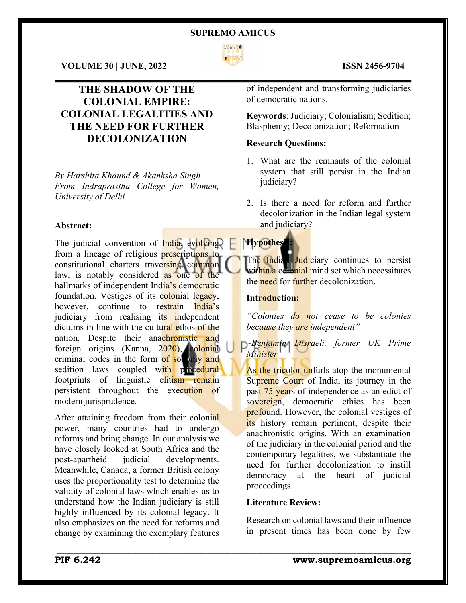

 $\mathcal{L}_\mathcal{L} = \mathcal{L}_\mathcal{L} = \mathcal{L}_\mathcal{L} = \mathcal{L}_\mathcal{L} = \mathcal{L}_\mathcal{L} = \mathcal{L}_\mathcal{L} = \mathcal{L}_\mathcal{L} = \mathcal{L}_\mathcal{L} = \mathcal{L}_\mathcal{L} = \mathcal{L}_\mathcal{L} = \mathcal{L}_\mathcal{L} = \mathcal{L}_\mathcal{L} = \mathcal{L}_\mathcal{L} = \mathcal{L}_\mathcal{L} = \mathcal{L}_\mathcal{L} = \mathcal{L}_\mathcal{L} = \mathcal{L}_\mathcal{L}$ 

# **VOLUME 30 | JUNE, 2022 ISSN 2456-9704**

# **THE SHADOW OF THE COLONIAL EMPIRE: COLONIAL LEGALITIES AND THE NEED FOR FURTHER DECOLONIZATION**

*By Harshita Khaund & Akanksha Singh From Indraprastha College for Women, University of Delhi*

# **Abstract:**

The judicial convention of India, evolving  $\Box$ from a lineage of religious **prescriptions** to constitutional charters traversing common law, is notably considered as one of the hallmarks of independent India's democratic foundation. Vestiges of its colonial legacy, however, continue to restrain India's judiciary from realising its independent dictums in line with the cultural ethos of the nation. Despite their anachronistic and foreign origins (Kanna, 2020), colonial criminal codes in the form of solomy and sedition laws coupled with procedural footprints of linguistic elitism remain persistent throughout the execution of modern jurisprudence.

After attaining freedom from their colonial power, many countries had to undergo reforms and bring change. In our analysis we have closely looked at South Africa and the post-apartheid judicial developments. Meanwhile, Canada, a former British colony uses the proportionality test to determine the validity of colonial laws which enables us to understand how the Indian judiciary is still highly influenced by its colonial legacy. It also emphasizes on the need for reforms and change by examining the exemplary features

of independent and transforming judiciaries of democratic nations.

**Keywords**: Judiciary; Colonialism; Sedition; Blasphemy; Decolonization; Reformation

# **Research Questions:**

- 1. What are the remnants of the colonial system that still persist in the Indian judiciary?
- 2. Is there a need for reform and further decolonization in the Indian legal system and judiciary?

# **Hypothesi**

The Indian Judiciary continues to persist within a colonial mind set which necessitates the need for further decolonization.

# **Introduction:**

*"Colonies do not cease to be colonies because they are independent"*

*~Benjamin Disraeli, former UK Prime Minister* 

As the tricolor unfurls atop the monumental Supreme Court of India, its journey in the past 75 years of independence as an edict of sovereign, democratic ethics has been profound. However, the colonial vestiges of its history remain pertinent, despite their anachronistic origins. With an examination of the judiciary in the colonial period and the contemporary legalities, we substantiate the need for further decolonization to instill democracy at the heart of judicial proceedings.

## **Literature Review:**

\_\_\_\_\_\_\_\_\_\_\_\_\_\_\_\_\_\_\_\_\_\_\_\_\_\_\_\_\_\_\_\_\_\_\_\_\_\_\_\_\_\_\_\_\_\_\_\_\_\_\_\_\_\_\_\_\_\_\_\_\_\_\_\_\_\_\_\_\_\_\_\_\_\_\_\_\_\_\_\_\_\_\_\_\_

Research on colonial laws and their influence in present times has been done by few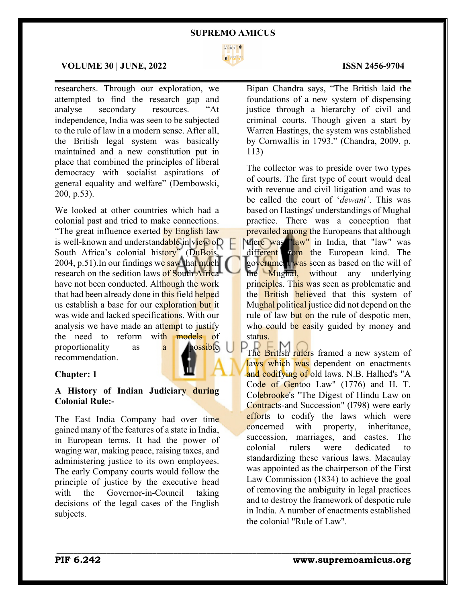

 $\mathcal{L}_\mathcal{L} = \mathcal{L}_\mathcal{L} = \mathcal{L}_\mathcal{L} = \mathcal{L}_\mathcal{L} = \mathcal{L}_\mathcal{L} = \mathcal{L}_\mathcal{L} = \mathcal{L}_\mathcal{L} = \mathcal{L}_\mathcal{L} = \mathcal{L}_\mathcal{L} = \mathcal{L}_\mathcal{L} = \mathcal{L}_\mathcal{L} = \mathcal{L}_\mathcal{L} = \mathcal{L}_\mathcal{L} = \mathcal{L}_\mathcal{L} = \mathcal{L}_\mathcal{L} = \mathcal{L}_\mathcal{L} = \mathcal{L}_\mathcal{L}$ 

\_\_\_\_\_\_\_\_\_\_\_\_\_\_\_\_\_\_\_\_\_\_\_\_\_\_\_\_\_\_\_\_\_\_\_\_\_\_\_\_\_\_\_\_\_\_\_\_\_\_\_\_\_\_\_\_\_\_\_\_\_\_\_\_\_\_\_\_\_\_\_\_\_\_\_\_\_\_\_\_\_\_\_\_\_

# **VOLUME 30 | JUNE, 2022 ISSN 2456-9704**

researchers. Through our exploration, we attempted to find the research gap and analyse secondary resources. "At independence, India was seen to be subjected to the rule of law in a modern sense. After all, the British legal system was basically maintained and a new constitution put in place that combined the principles of liberal democracy with socialist aspirations of general equality and welfare" (Dembowski, 200, p.53).

We looked at other countries which had a colonial past and tried to make connections. "The great influence exerted by English law" is well-known and understandable in  $view$  of South Africa's colonial history" (DuBois, 2004, p.51). In our findings we saw that much research on the sedition laws of South Africa have not been conducted. Although the work that had been already done in this field helped us establish a base for our exploration but it was wide and lacked specifications. With our analysis we have made an attempt to justify the need to reform with models of proportionality as a **possible** recommendation.

### **Chapter: 1**

# **A History of Indian Judiciary during Colonial Rule:-**

The East India Company had over time gained many of the features of a state in India, in European terms. It had the power of waging war, making peace, raising taxes, and administering justice to its own employees. The early Company courts would follow the principle of justice by the executive head with the Governor-in-Council taking decisions of the legal cases of the English subjects.

Bipan Chandra says, "The British laid the foundations of a new system of dispensing justice through a hierarchy of civil and criminal courts. Though given a start by Warren Hastings, the system was established by Cornwallis in 1793." (Chandra, 2009, p. 113)

The collector was to preside over two types of courts. The first type of court would deal with revenue and civil litigation and was to be called the court of '*dewani'*. This was based on Hastings' understandings of Mughal practice. There was a conception that prevailed among the Europeans that although there was "law" in India, that "law" was different from the European kind. The government was seen as based on the will of the Mughal, without any underlying principles. This was seen as problematic and the **British believed** that this system of Mughal political justice did not depend on the rule of law but on the rule of despotic men, who could be easily guided by money and status.

The British rulers framed a new system of laws which was dependent on enactments and codifying of old laws. N.B. Halhed's "A Code of Gentoo Law" (1776) and H. T. Colebrooke's "The Digest of Hindu Law on Contracts-and Succession" (1798) were early efforts to codify the laws which were concerned with property, inheritance, succession, marriages, and castes. The colonial rulers were dedicated to standardizing these various laws. Macaulay was appointed as the chairperson of the First Law Commission (1834) to achieve the goal of removing the ambiguity in legal practices and to destroy the framework of despotic rule in India. A number of enactments established the colonial "Rule of Law".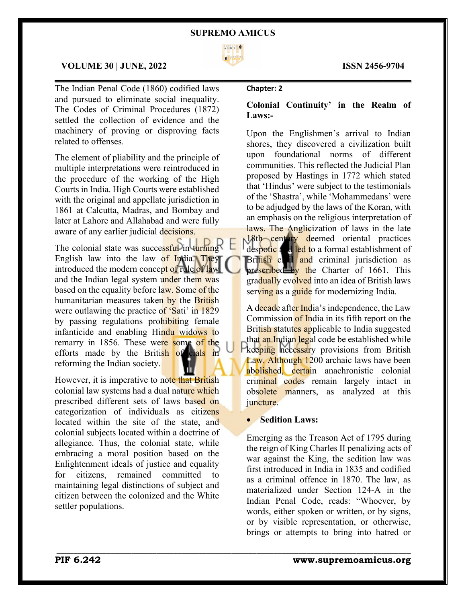

 $\mathcal{L}_\mathcal{L} = \mathcal{L}_\mathcal{L} = \mathcal{L}_\mathcal{L} = \mathcal{L}_\mathcal{L} = \mathcal{L}_\mathcal{L} = \mathcal{L}_\mathcal{L} = \mathcal{L}_\mathcal{L} = \mathcal{L}_\mathcal{L} = \mathcal{L}_\mathcal{L} = \mathcal{L}_\mathcal{L} = \mathcal{L}_\mathcal{L} = \mathcal{L}_\mathcal{L} = \mathcal{L}_\mathcal{L} = \mathcal{L}_\mathcal{L} = \mathcal{L}_\mathcal{L} = \mathcal{L}_\mathcal{L} = \mathcal{L}_\mathcal{L}$ 

# **VOLUME 30 | JUNE, 2022 ISSN 2456-9704**

The Indian Penal Code (1860) codified laws and pursued to eliminate social inequality. The Codes of Criminal Procedures (1872) settled the collection of evidence and the machinery of proving or disproving facts related to offenses.

The element of pliability and the principle of multiple interpretations were reintroduced in the procedure of the working of the High Courts in India. High Courts were established with the original and appellate jurisdiction in 1861 at Calcutta, Madras, and Bombay and later at Lahore and Allahabad and were fully aware of any earlier judicial decisions.

The colonial state was successful in turning English law into the law of India. They introduced the modern concept of rule of law and the Indian legal system under them was based on the equality before law. Some of the humanitarian measures taken by the British were outlawing the practice of 'Sati' in 1829 by passing regulations prohibiting female infanticide and enabling Hindu widows to remarry in 1856. These were some of the efforts made by the British of cials in reforming the Indian society.

However, it is imperative to note that British colonial law systems had a dual nature which prescribed different sets of laws based on categorization of individuals as citizens located within the site of the state, and colonial subjects located within a doctrine of allegiance. Thus, the colonial state, while embracing a moral position based on the Enlightenment ideals of justice and equality for citizens, remained committed to maintaining legal distinctions of subject and citizen between the colonized and the White settler populations.

### **Chapter: 2**

# **Colonial Continuity' in the Realm of Laws:-**

Upon the Englishmen's arrival to Indian shores, they discovered a civilization built upon foundational norms of different communities. This reflected the Judicial Plan proposed by Hastings in 1772 which stated that 'Hindus' were subject to the testimonials of the 'Shastra', while 'Mohammedans' were to be adjudged by the laws of the Koran, with an emphasis on the religious interpretation of laws. The Anglicization of laws in the late 18th century deemed oriental practices despotic and led to a formal establishment of British civil and criminal jurisdiction as prescribed by the Charter of 1661. This gradually evolved into an idea of British laws serving as a guide for modernizing India.

A decade after India's independence, the Law Commission of India in its fifth report on the British statutes applicable to India suggested that an Indian legal code be established while keeping necessary provisions from British Law. Although 1200 archaic laws have been abolished, certain anachronistic colonial criminal codes remain largely intact in obsolete manners, as analyzed at this juncture.

# • **Sedition Laws:**

\_\_\_\_\_\_\_\_\_\_\_\_\_\_\_\_\_\_\_\_\_\_\_\_\_\_\_\_\_\_\_\_\_\_\_\_\_\_\_\_\_\_\_\_\_\_\_\_\_\_\_\_\_\_\_\_\_\_\_\_\_\_\_\_\_\_\_\_\_\_\_\_\_\_\_\_\_\_\_\_\_\_\_\_\_

Emerging as the Treason Act of 1795 during the reign of King Charles II penalizing acts of war against the King, the sedition law was first introduced in India in 1835 and codified as a criminal offence in 1870. The law, as materialized under Section 124-A in the Indian Penal Code, reads: "Whoever, by words, either spoken or written, or by signs, or by visible representation, or otherwise, brings or attempts to bring into hatred or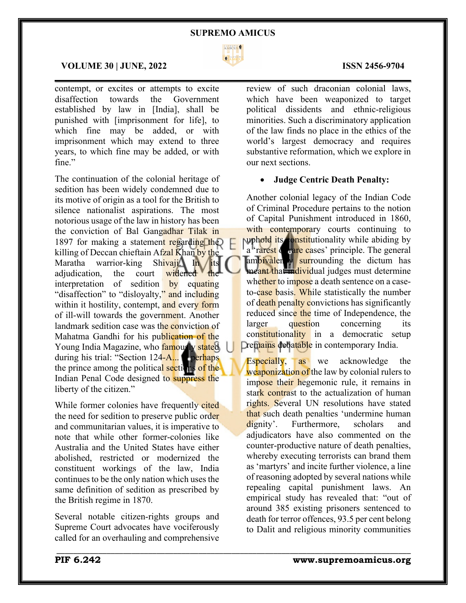

 $\mathcal{L}_\mathcal{L} = \mathcal{L}_\mathcal{L} = \mathcal{L}_\mathcal{L} = \mathcal{L}_\mathcal{L} = \mathcal{L}_\mathcal{L} = \mathcal{L}_\mathcal{L} = \mathcal{L}_\mathcal{L} = \mathcal{L}_\mathcal{L} = \mathcal{L}_\mathcal{L} = \mathcal{L}_\mathcal{L} = \mathcal{L}_\mathcal{L} = \mathcal{L}_\mathcal{L} = \mathcal{L}_\mathcal{L} = \mathcal{L}_\mathcal{L} = \mathcal{L}_\mathcal{L} = \mathcal{L}_\mathcal{L} = \mathcal{L}_\mathcal{L}$ 

\_\_\_\_\_\_\_\_\_\_\_\_\_\_\_\_\_\_\_\_\_\_\_\_\_\_\_\_\_\_\_\_\_\_\_\_\_\_\_\_\_\_\_\_\_\_\_\_\_\_\_\_\_\_\_\_\_\_\_\_\_\_\_\_\_\_\_\_\_\_\_\_\_\_\_\_\_\_\_\_\_\_\_\_\_

# **VOLUME 30 | JUNE, 2022 ISSN 2456-9704**

contempt, or excites or attempts to excite disaffection towards the Government established by law in [India], shall be punished with [imprisonment for life], to which fine may be added, or with imprisonment which may extend to three years, to which fine may be added, or with fine."

The continuation of the colonial heritage of sedition has been widely condemned due to its motive of origin as a tool for the British to silence nationalist aspirations. The most notorious usage of the law in history has been the conviction of Bal Gangadhar Tilak in 1897 for making a statement regarding the killing of Deccan chieftain Afzal Khan by the Maratha warrior-king Shivaji. In its adjudication, the court widened interpretation of sedition by equating "disaffection" to "disloyalty," and including within it hostility, contempt, and every form of ill-will towards the government. Another landmark sedition case was the conviction of Mahatma Gandhi for his publication of the Young India Magazine, who famously stated during his trial: "Section 124-A... **is perhaps** the prince among the political sections of the Indian Penal Code designed to suppress the liberty of the citizen."

While former colonies have frequently cited the need for sedition to preserve public order and communitarian values, it is imperative to note that while other former-colonies like Australia and the United States have either abolished, restricted or modernized the constituent workings of the law, India continues to be the only nation which uses the same definition of sedition as prescribed by the British regime in 1870.

Several notable citizen-rights groups and Supreme Court advocates have vociferously called for an overhauling and comprehensive

review of such draconian colonial laws, which have been weaponized to target political dissidents and ethnic-religious minorities. Such a discriminatory application of the law finds no place in the ethics of the world's largest democracy and requires substantive reformation, which we explore in our next sections.

# • **Judge Centric Death Penalty:**

Another colonial legacy of the Indian Code of Criminal Procedure pertains to the notion of Capital Punishment introduced in 1860, with contemporary courts continuing to puphold its constitutionality while abiding by a 'rarest de rare cases' principle. The general ambivalen<sub>g</sub> surrounding the dictum has meant that individual judges must determine whether to impose a death sentence on a caseto-case basis. While statistically the number of death penalty convictions has significantly reduced since the time of Independence, the larger question concerning its constitutionality in a democratic setup **Dremains debatable** in contemporary India.

Especially, as we acknowledge the weaponization of the law by colonial rulers to impose their hegemonic rule, it remains in stark contrast to the actualization of human rights. Several UN resolutions have stated that such death penalties 'undermine human dignity'. Furthermore, scholars and adjudicators have also commented on the counter-productive nature of death penalties, whereby executing terrorists can brand them as 'martyrs' and incite further violence, a line of reasoning adopted by several nations while repealing capital punishment laws. An empirical study has revealed that: "out of around 385 existing prisoners sentenced to death for terror offences, 93.5 per cent belong to Dalit and religious minority communities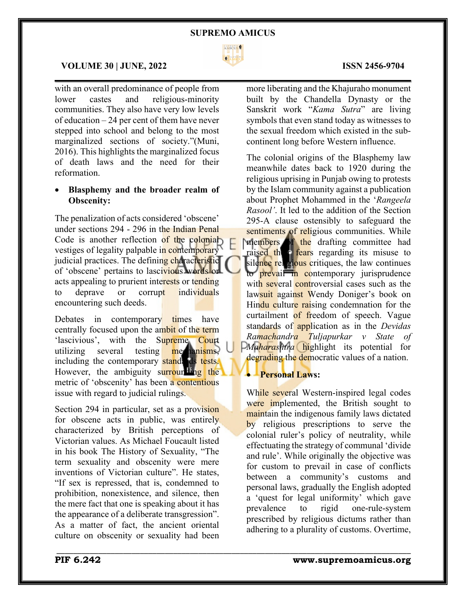

 $\mathcal{L}_\mathcal{L} = \mathcal{L}_\mathcal{L} = \mathcal{L}_\mathcal{L} = \mathcal{L}_\mathcal{L} = \mathcal{L}_\mathcal{L} = \mathcal{L}_\mathcal{L} = \mathcal{L}_\mathcal{L} = \mathcal{L}_\mathcal{L} = \mathcal{L}_\mathcal{L} = \mathcal{L}_\mathcal{L} = \mathcal{L}_\mathcal{L} = \mathcal{L}_\mathcal{L} = \mathcal{L}_\mathcal{L} = \mathcal{L}_\mathcal{L} = \mathcal{L}_\mathcal{L} = \mathcal{L}_\mathcal{L} = \mathcal{L}_\mathcal{L}$ 

# **VOLUME 30 | JUNE, 2022 ISSN 2456-9704**

with an overall predominance of people from lower castes and religious-minority communities. They also have very low levels of education – 24 per cent of them have never stepped into school and belong to the most marginalized sections of society."(Muni, 2016). This highlights the marginalized focus of death laws and the need for their reformation.

# • **Blasphemy and the broader realm of Obscenity:**

The penalization of acts considered 'obscene' under sections 294 - 296 in the Indian Penal Code is another reflection of the colonial vestiges of legality palpable in contemporary judicial practices. The defining characteristic of 'obscene' pertains to lascivious words or acts appealing to prurient interests or tending to deprave or corrupt individuals encountering such deeds.

Debates in contemporary times have centrally focused upon the ambit of the term 'lascivious', with the Supreme Court utilizing several testing mechanisms, including the contemporary standards tests. However, the ambiguity surrounding the metric of 'obscenity' has been a contentious issue with regard to judicial rulings.

Section 294 in particular, set as a provision for obscene acts in public, was entirely characterized by British perceptions of Victorian values. As Michael Foucault listed in his book The History of Sexuality, "The term sexuality and obscenity were mere inventions of Victorian culture". He states, "If sex is repressed, that is, condemned to prohibition, nonexistence, and silence, then the mere fact that one is speaking about it has the appearance of a deliberate transgression". As a matter of fact, the ancient oriental culture on obscenity or sexuality had been

more liberating and the Khajuraho monument built by the Chandella Dynasty or the Sanskrit work "*Kama Sutra*" are living symbols that even stand today as witnesses to the sexual freedom which existed in the subcontinent long before Western influence.

The colonial origins of the Blasphemy law meanwhile dates back to 1920 during the religious uprising in Punjab owing to protests by the Islam community against a publication about Prophet Mohammed in the '*Rangeela Rasool'*. It led to the addition of the Section 295-A clause ostensibly to safeguard the sentiments of religious communities. While members of the drafting committee had raised their fears regarding its misuse to silence religious critiques, the law continues to **prevail in co**ntemporary jurisprudence with several controversial cases such as the lawsuit against Wendy Doniger's book on Hindu culture raising condemnation for the curtailment of freedom of speech. Vague standards of application as in the *Devidas Ramachandra Tuljapurkar v State of Maharashtra* highlight its potential for degrading the democratic values of a nation.

# • **Personal Laws:**

\_\_\_\_\_\_\_\_\_\_\_\_\_\_\_\_\_\_\_\_\_\_\_\_\_\_\_\_\_\_\_\_\_\_\_\_\_\_\_\_\_\_\_\_\_\_\_\_\_\_\_\_\_\_\_\_\_\_\_\_\_\_\_\_\_\_\_\_\_\_\_\_\_\_\_\_\_\_\_\_\_\_\_\_\_

While several Western-inspired legal codes were implemented, the British sought to maintain the indigenous family laws dictated by religious prescriptions to serve the colonial ruler's policy of neutrality, while effectuating the strategy of communal 'divide and rule'. While originally the objective was for custom to prevail in case of conflicts between a community's customs and personal laws, gradually the English adopted a 'quest for legal uniformity' which gave prevalence to rigid one-rule-system prescribed by religious dictums rather than adhering to a plurality of customs. Overtime,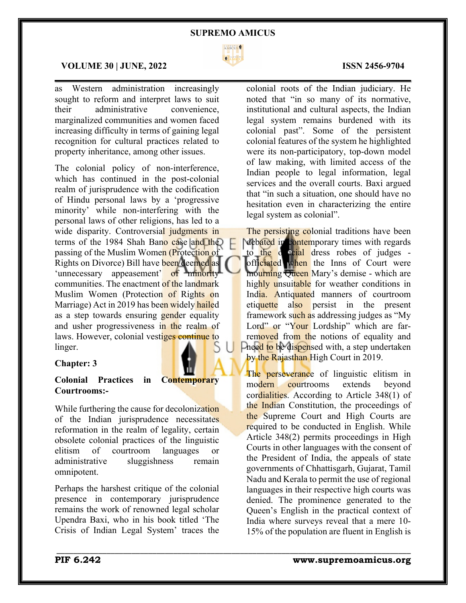

 $\mathcal{L}_\mathcal{L} = \mathcal{L}_\mathcal{L} = \mathcal{L}_\mathcal{L} = \mathcal{L}_\mathcal{L} = \mathcal{L}_\mathcal{L} = \mathcal{L}_\mathcal{L} = \mathcal{L}_\mathcal{L} = \mathcal{L}_\mathcal{L} = \mathcal{L}_\mathcal{L} = \mathcal{L}_\mathcal{L} = \mathcal{L}_\mathcal{L} = \mathcal{L}_\mathcal{L} = \mathcal{L}_\mathcal{L} = \mathcal{L}_\mathcal{L} = \mathcal{L}_\mathcal{L} = \mathcal{L}_\mathcal{L} = \mathcal{L}_\mathcal{L}$ 

\_\_\_\_\_\_\_\_\_\_\_\_\_\_\_\_\_\_\_\_\_\_\_\_\_\_\_\_\_\_\_\_\_\_\_\_\_\_\_\_\_\_\_\_\_\_\_\_\_\_\_\_\_\_\_\_\_\_\_\_\_\_\_\_\_\_\_\_\_\_\_\_\_\_\_\_\_\_\_\_\_\_\_\_\_

# **VOLUME 30 | JUNE, 2022 ISSN 2456-9704**

as Western administration increasingly sought to reform and interpret laws to suit their administrative convenience, marginalized communities and women faced increasing difficulty in terms of gaining legal recognition for cultural practices related to property inheritance, among other issues.

The colonial policy of non-interference, which has continued in the post-colonial realm of jurisprudence with the codification of Hindu personal laws by a 'progressive minority' while non-interfering with the personal laws of other religions, has led to a wide disparity. Controversial judgments in terms of the 1984 Shah Bano case and the passing of the Muslim Women (Protection of Rights on Divorce) Bill have been deemed as 'unnecessary appeasement' of minority communities. The enactment of the landmark Muslim Women (Protection of Rights on Marriage) Act in 2019 has been widely hailed as a step towards ensuring gender equality and usher progressiveness in the realm of laws. However, colonial vestiges continue to linger.

# **Chapter: 3**

# **Colonial Practices in Contemporary Courtrooms:-**

While furthering the cause for decolonization of the Indian jurisprudence necessitates reformation in the realm of legality, certain obsolete colonial practices of the linguistic elitism of courtroom languages or administrative sluggishness remain omnipotent.

Perhaps the harshest critique of the colonial presence in contemporary jurisprudence remains the work of renowned legal scholar Upendra Baxi, who in his book titled 'The Crisis of Indian Legal System' traces the

# colonial roots of the Indian judiciary. He noted that "in so many of its normative, institutional and cultural aspects, the Indian legal system remains burdened with its colonial past". Some of the persistent colonial features of the system he highlighted were its non-participatory, top-down model of law making, with limited access of the Indian people to legal information, legal services and the overall courts. Baxi argued

that "in such a situation, one should have no hesitation even in characterizing the entire legal system as colonial". The persisting colonial traditions have been debated in contemporary times with regards

to the **d** icial dress robes of judges officiated when the Inns of Court were mourning Oueen Mary's demise - which are highly unsuitable for weather conditions in India. Antiquated manners of courtroom etiquette also persist in the present framework such as addressing judges as "My Lord" or "Your Lordship" which are farremoved from the notions of equality and **Pheed to be dispensed with, a step undertaken** by the Rajasthan High Court in 2019.

The perseverance of linguistic elitism in modern courtrooms extends beyond cordialities. According to Article 348(1) of the Indian Constitution, the proceedings of the Supreme Court and High Courts are required to be conducted in English. While Article 348(2) permits proceedings in High Courts in other languages with the consent of the President of India, the appeals of state governments of Chhattisgarh, Gujarat, Tamil Nadu and Kerala to permit the use of regional languages in their respective high courts was denied. The prominence generated to the Queen's English in the practical context of India where surveys reveal that a mere 10- 15% of the population are fluent in English is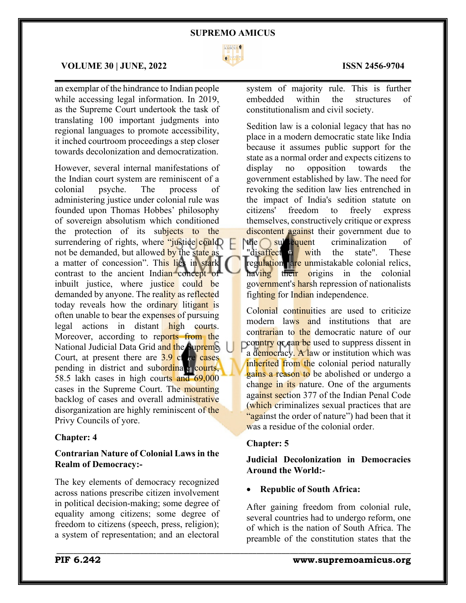

 $\mathcal{L}_\mathcal{L} = \mathcal{L}_\mathcal{L} = \mathcal{L}_\mathcal{L} = \mathcal{L}_\mathcal{L} = \mathcal{L}_\mathcal{L} = \mathcal{L}_\mathcal{L} = \mathcal{L}_\mathcal{L} = \mathcal{L}_\mathcal{L} = \mathcal{L}_\mathcal{L} = \mathcal{L}_\mathcal{L} = \mathcal{L}_\mathcal{L} = \mathcal{L}_\mathcal{L} = \mathcal{L}_\mathcal{L} = \mathcal{L}_\mathcal{L} = \mathcal{L}_\mathcal{L} = \mathcal{L}_\mathcal{L} = \mathcal{L}_\mathcal{L}$ 

### **VOLUME 30 | JUNE, 2022 ISSN 2456-9704**

an exemplar of the hindrance to Indian people while accessing legal information. In 2019, as the Supreme Court undertook the task of translating 100 important judgments into regional languages to promote accessibility, it inched courtroom proceedings a step closer towards decolonization and democratization.

However, several internal manifestations of the Indian court system are reminiscent of a colonial psyche. The process of administering justice under colonial rule was founded upon Thomas Hobbes' philosophy of sovereign absolutism which conditioned the protection of its subjects to the surrendering of rights, where "justice could not be demanded, but allowed by the state as a matter of concession". This lies in stark contrast to the ancient Indian concept of inbuilt justice, where justice could be demanded by anyone. The reality as reflected today reveals how the ordinary litigant is often unable to bear the expenses of pursuing legal actions in distant high courts. Moreover, according to reports from the National Judicial Data Grid and the Supreme Court, at present there are  $3.9$  cross pending in district and subordinate courts, 58.5 lakh cases in high courts and 69,000 cases in the Supreme Court. The mounting backlog of cases and overall administrative disorganization are highly reminiscent of the Privy Councils of yore.

# **Chapter: 4**

# **Contrarian Nature of Colonial Laws in the Realm of Democracy:-**

The key elements of democracy recognized across nations prescribe citizen involvement in political decision-making; some degree of equality among citizens; some degree of freedom to citizens (speech, press, religion); a system of representation; and an electoral

system of majority rule. This is further embedded within the structures of constitutionalism and civil society.

Sedition law is a colonial legacy that has no place in a modern democratic state like India because it assumes public support for the state as a normal order and expects citizens to display no opposition towards the government established by law. The need for revoking the sedition law lies entrenched in the impact of India's sedition statute on citizens' freedom to freely express themselves, constructively critique or express discontent against their government due to the subsequent criminalization of "disaffect in with the state". These regulation are unmistakable colonial relics, having their origins in the colonial government's harsh repression of nationalists fighting for Indian independence.

Colonial continuities are used to criticize modern laws and institutions that are contrarian to the democratic nature of our country or can be used to suppress dissent in a democracy. A law or institution which was inherited from the colonial period naturally gains a reason to be abolished or undergo a change in its nature. One of the arguments against section 377 of the Indian Penal Code (which criminalizes sexual practices that are "against the order of nature") had been that it was a residue of the colonial order.

### **Chapter: 5**

\_\_\_\_\_\_\_\_\_\_\_\_\_\_\_\_\_\_\_\_\_\_\_\_\_\_\_\_\_\_\_\_\_\_\_\_\_\_\_\_\_\_\_\_\_\_\_\_\_\_\_\_\_\_\_\_\_\_\_\_\_\_\_\_\_\_\_\_\_\_\_\_\_\_\_\_\_\_\_\_\_\_\_\_\_

**Judicial Decolonization in Democracies Around the World:-**

### • **Republic of South Africa:**

After gaining freedom from colonial rule, several countries had to undergo reform, one of which is the nation of South Africa. The preamble of the constitution states that the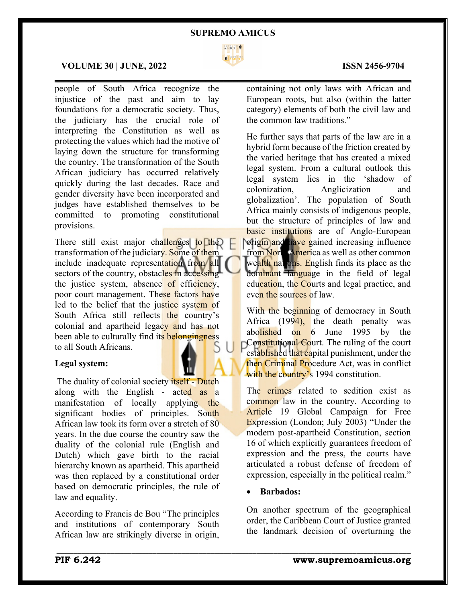

 $\mathcal{L}_\mathcal{L} = \mathcal{L}_\mathcal{L} = \mathcal{L}_\mathcal{L} = \mathcal{L}_\mathcal{L} = \mathcal{L}_\mathcal{L} = \mathcal{L}_\mathcal{L} = \mathcal{L}_\mathcal{L} = \mathcal{L}_\mathcal{L} = \mathcal{L}_\mathcal{L} = \mathcal{L}_\mathcal{L} = \mathcal{L}_\mathcal{L} = \mathcal{L}_\mathcal{L} = \mathcal{L}_\mathcal{L} = \mathcal{L}_\mathcal{L} = \mathcal{L}_\mathcal{L} = \mathcal{L}_\mathcal{L} = \mathcal{L}_\mathcal{L}$ 

# **VOLUME 30 | JUNE, 2022 ISSN 2456-9704**

people of South Africa recognize the injustice of the past and aim to lay foundations for a democratic society. Thus, the judiciary has the crucial role of interpreting the Constitution as well as protecting the values which had the motive of laying down the structure for transforming the country. The transformation of the South African judiciary has occurred relatively quickly during the last decades. Race and gender diversity have been incorporated and judges have established themselves to be committed to promoting constitutional provisions.

There still exist major challenges to the transformation of the judiciary. Some of them include inadequate representation from all sectors of the country, obstacles in accessing the justice system, absence of efficiency, poor court management. These factors have led to the belief that the justice system of South Africa still reflects the country's colonial and apartheid legacy and has not been able to culturally find its belongingness to all South Africans.

### **Legal system:**

The duality of colonial society itself - Dutch along with the English - acted as a manifestation of locally applying the significant bodies of principles. South African law took its form over a stretch of 80 years. In the due course the country saw the duality of the colonial rule (English and Dutch) which gave birth to the racial hierarchy known as apartheid. This apartheid was then replaced by a constitutional order based on democratic principles, the rule of law and equality.

According to Francis de Bou "The principles and institutions of contemporary South African law are strikingly diverse in origin,

containing not only laws with African and European roots, but also (within the latter category) elements of both the civil law and the common law traditions."

He further says that parts of the law are in a hybrid form because of the friction created by the varied heritage that has created a mixed legal system. From a cultural outlook this legal system lies in the 'shadow of colonization, Anglicization and globalization'. The population of South Africa mainly consists of indigenous people, but the structure of principles of law and basic institutions are of Anglo-European origin and have gained increasing influence from North America as well as other common wealth nations. English finds its place as the dominant language in the field of legal education, the Courts and legal practice, and even the sources of law.

With the beginning of democracy in South Africa  $(1994)$ , the death penalty was abolished on 6 June 1995 by the Constitutional Court. The ruling of the court established that capital punishment, under the then Criminal Procedure Act, was in conflict with the country's 1994 constitution.

The crimes related to sedition exist as common law in the country. According to Article 19 Global Campaign for Free Expression (London; July 2003) "Under the modern post-apartheid Constitution, section 16 of which explicitly guarantees freedom of expression and the press, the courts have articulated a robust defense of freedom of expression, especially in the political realm."

## • **Barbados:**

\_\_\_\_\_\_\_\_\_\_\_\_\_\_\_\_\_\_\_\_\_\_\_\_\_\_\_\_\_\_\_\_\_\_\_\_\_\_\_\_\_\_\_\_\_\_\_\_\_\_\_\_\_\_\_\_\_\_\_\_\_\_\_\_\_\_\_\_\_\_\_\_\_\_\_\_\_\_\_\_\_\_\_\_\_

On another spectrum of the geographical order, the Caribbean Court of Justice granted the landmark decision of overturning the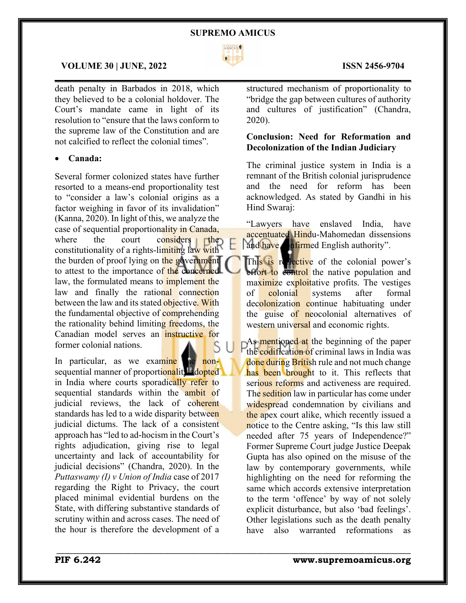

 $\mathcal{L}_\mathcal{L} = \mathcal{L}_\mathcal{L} = \mathcal{L}_\mathcal{L} = \mathcal{L}_\mathcal{L} = \mathcal{L}_\mathcal{L} = \mathcal{L}_\mathcal{L} = \mathcal{L}_\mathcal{L} = \mathcal{L}_\mathcal{L} = \mathcal{L}_\mathcal{L} = \mathcal{L}_\mathcal{L} = \mathcal{L}_\mathcal{L} = \mathcal{L}_\mathcal{L} = \mathcal{L}_\mathcal{L} = \mathcal{L}_\mathcal{L} = \mathcal{L}_\mathcal{L} = \mathcal{L}_\mathcal{L} = \mathcal{L}_\mathcal{L}$ 

\_\_\_\_\_\_\_\_\_\_\_\_\_\_\_\_\_\_\_\_\_\_\_\_\_\_\_\_\_\_\_\_\_\_\_\_\_\_\_\_\_\_\_\_\_\_\_\_\_\_\_\_\_\_\_\_\_\_\_\_\_\_\_\_\_\_\_\_\_\_\_\_\_\_\_\_\_\_\_\_\_\_\_\_\_

# **VOLUME 30 | JUNE, 2022 ISSN 2456-9704**

death penalty in Barbados in 2018, which they believed to be a colonial holdover. The Court's mandate came in light of its resolution to "ensure that the laws conform to the supreme law of the Constitution and are not calcified to reflect the colonial times".

# • **Canada:**

Several former colonized states have further resorted to a means-end proportionality test to "consider a law's colonial origins as a factor weighing in favor of its invalidation" (Kanna, 2020). In light of this, we analyze the case of sequential proportionality in Canada, where the court considers the constitutionality of a rights-limiting law with the burden of proof lying on the government to attest to the importance of the concerned law, the formulated means to implement the law and finally the rational connection between the law and its stated objective. With the fundamental objective of **comprehending** the rationality behind limiting freedoms, the Canadian model serves an instructive for former colonial nations.

In particular, as we examine the nonsequential manner of proportionality dopted in India where courts sporadically refer to sequential standards within the **ambit** of judicial reviews, the lack of coherent standards has led to a wide disparity between judicial dictums. The lack of a consistent approach has "led to ad-hocism in the Court's rights adjudication, giving rise to legal uncertainty and lack of accountability for judicial decisions" (Chandra, 2020). In the *Puttaswamy (I) v Union of India* case of 2017 regarding the Right to Privacy, the court placed minimal evidential burdens on the State, with differing substantive standards of scrutiny within and across cases. The need of the hour is therefore the development of a

structured mechanism of proportionality to "bridge the gap between cultures of authority and cultures of justification" (Chandra, 2020).

# **Conclusion: Need for Reformation and Decolonization of the Indian Judiciary**

The criminal justice system in India is a remnant of the British colonial jurisprudence and the need for reform has been acknowledged. As stated by Gandhi in his Hind Swaraj:

"Lawyers have enslaved India, have accentuated Hindu-Mahomedan dissensions and have **confirmed** English authority".

This is reflective of the colonial power's effort to control the native population and maximize exploitative profits. The vestiges of colonial systems after formal decolonization continue habituating under the guise of neocolonial alternatives of western universal and economic rights.

As mentioned at the beginning of the paper the codification of criminal laws in India was done during British rule and not much change has been brought to it. This reflects that serious reforms and activeness are required. The sedition law in particular has come under widespread condemnation by civilians and the apex court alike, which recently issued a notice to the Centre asking, "Is this law still needed after 75 years of Independence?" Former Supreme Court judge Justice Deepak Gupta has also opined on the misuse of the law by contemporary governments, while highlighting on the need for reforming the same which accords extensive interpretation to the term 'offence' by way of not solely explicit disturbance, but also 'bad feelings'. Other legislations such as the death penalty have also warranted reformations as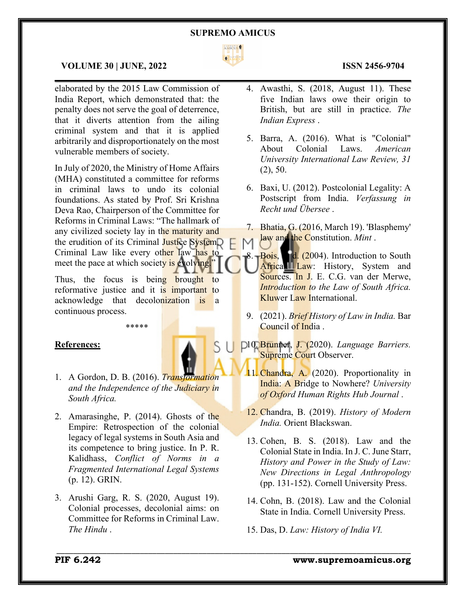

 $\mathcal{L}_\mathcal{L} = \mathcal{L}_\mathcal{L} = \mathcal{L}_\mathcal{L} = \mathcal{L}_\mathcal{L} = \mathcal{L}_\mathcal{L} = \mathcal{L}_\mathcal{L} = \mathcal{L}_\mathcal{L} = \mathcal{L}_\mathcal{L} = \mathcal{L}_\mathcal{L} = \mathcal{L}_\mathcal{L} = \mathcal{L}_\mathcal{L} = \mathcal{L}_\mathcal{L} = \mathcal{L}_\mathcal{L} = \mathcal{L}_\mathcal{L} = \mathcal{L}_\mathcal{L} = \mathcal{L}_\mathcal{L} = \mathcal{L}_\mathcal{L}$ 

# **VOLUME 30 | JUNE, 2022 ISSN 2456-9704**

elaborated by the 2015 Law Commission of India Report, which demonstrated that: the penalty does not serve the goal of deterrence, that it diverts attention from the ailing criminal system and that it is applied arbitrarily and disproportionately on the most vulnerable members of society.

In July of 2020, the Ministry of Home Affairs (MHA) constituted a committee for reforms in criminal laws to undo its colonial foundations. As stated by Prof. Sri Krishna Deva Rao, Chairperson of the Committee for Reforms in Criminal Laws: "The hallmark of any civilized society lay in the maturity and the erudition of its Criminal Justice System. Criminal Law like every other law has to meet the pace at which society is evolving."

Thus, the focus is being brought to reformative justice and it is important to acknowledge that decolonization is a continuous process.

\*\*\*\*\*

### **References:**

- 1. A Gordon, D. B. (2016). *Transformation and the Independence of the Judiciary in South Africa.*
- 2. Amarasinghe, P. (2014). Ghosts of the Empire: Retrospection of the colonial legacy of legal systems in South Asia and its competence to bring justice. In P. R. Kalidhass, *Conflict of Norms in a Fragmented International Legal Systems* (p. 12). GRIN.
- 3. Arushi Garg, R. S. (2020, August 19). Colonial processes, decolonial aims: on Committee for Reforms in Criminal Law. *The Hindu* .

- 4. Awasthi, S. (2018, August 11). These five Indian laws owe their origin to British, but are still in practice. *The Indian Express* .
- 5. Barra, A. (2016). What is "Colonial" About Colonial Laws. *American University International Law Review, 31* (2), 50.
- 6. Baxi, U. (2012). Postcolonial Legality: A Postscript from India. *Verfassung in Recht und Übersee* .
- 7. Bhatia, G. (2016, March 19). 'Blasphemy' law and the Constitution. *Mint* .

Bois, F. d. (2004). Introduction to South African Law: History, System and Sources. In J. E. C.G. van der Merwe, *Introduction to the Law of South Africa.* Kluwer Law International.

- 9. (2021). *Brief History of Law in India.* Bar Council of India .
- 10. Brunner, J. (2020). *Language Barriers.* Supreme Court Observer.
- 11. Chandra, A. (2020). Proportionality in India: A Bridge to Nowhere? *University of Oxford Human Rights Hub Journal* .
- 12. Chandra, B. (2019). *History of Modern India.* Orient Blackswan.
- 13. Cohen, B. S. (2018). Law and the Colonial State in India. In J. C. June Starr, *History and Power in the Study of Law: New Directions in Legal Anthropology* (pp. 131-152). Cornell University Press.
- 14. Cohn, B. (2018). Law and the Colonial State in India. Cornell University Press.
- 15. Das, D. *Law: History of India VI.*

\_\_\_\_\_\_\_\_\_\_\_\_\_\_\_\_\_\_\_\_\_\_\_\_\_\_\_\_\_\_\_\_\_\_\_\_\_\_\_\_\_\_\_\_\_\_\_\_\_\_\_\_\_\_\_\_\_\_\_\_\_\_\_\_\_\_\_\_\_\_\_\_\_\_\_\_\_\_\_\_\_\_\_\_\_

# **PIF 6.242 www.supremoamicus.org**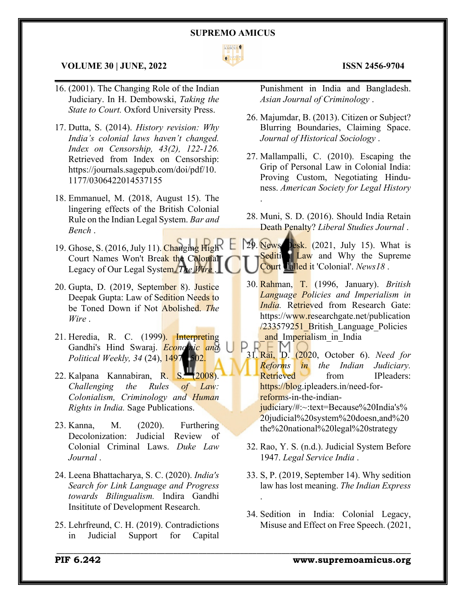

 $\mathcal{L}_\mathcal{L} = \mathcal{L}_\mathcal{L} = \mathcal{L}_\mathcal{L} = \mathcal{L}_\mathcal{L} = \mathcal{L}_\mathcal{L} = \mathcal{L}_\mathcal{L} = \mathcal{L}_\mathcal{L} = \mathcal{L}_\mathcal{L} = \mathcal{L}_\mathcal{L} = \mathcal{L}_\mathcal{L} = \mathcal{L}_\mathcal{L} = \mathcal{L}_\mathcal{L} = \mathcal{L}_\mathcal{L} = \mathcal{L}_\mathcal{L} = \mathcal{L}_\mathcal{L} = \mathcal{L}_\mathcal{L} = \mathcal{L}_\mathcal{L}$ 

.

\_\_\_\_\_\_\_\_\_\_\_\_\_\_\_\_\_\_\_\_\_\_\_\_\_\_\_\_\_\_\_\_\_\_\_\_\_\_\_\_\_\_\_\_\_\_\_\_\_\_\_\_\_\_\_\_\_\_\_\_\_\_\_\_\_\_\_\_\_\_\_\_\_\_\_\_\_\_\_\_\_\_\_\_\_

### **VOLUME 30 | JUNE, 2022 ISSN 2456-9704**

- 16. (2001). The Changing Role of the Indian Judiciary. In H. Dembowski, *Taking the State to Court.* Oxford University Press.
- 17. Dutta, S. (2014). *History revision: Why India's colonial laws haven't changed. Index on Censorship, 43(2), 122-126.* Retrieved from Index on Censorship: https://journals.sagepub.com/doi/pdf/10. 1177/0306422014537155
- 18. Emmanuel, M. (2018, August 15). The lingering effects of the British Colonial Rule on the Indian Legal System. *Bar and Bench* .
- 19. Ghose, S. (2016, July 11). Changing High Court Names Won't Break the Colonial Legacy of Our Legal System. *The Wire* .
- 20. Gupta, D. (2019, September 8). Justice Deepak Gupta: Law of Sedition Needs to be Toned Down if Not Abolished. *The Wire* .
- 21. Heredia, R. C. (1999). Interpreting Gandhi's Hind Swaraj. *Economic and Political Weekly, 34* (24), 1497-1502.
- 22. Kalpana Kannabiran, R. S. (2008). *Challenging the Rules of Law: Colonialism, Criminology and Human Rights in India.* Sage Publications.
- 23. Kanna, M. (2020). Furthering Decolonization: Judicial Review of Colonial Criminal Laws. *Duke Law Journal* .
- 24. Leena Bhattacharya, S. C. (2020). *India's Search for Link Language and Progress towards Bilingualism.* Indira Gandhi Insititute of Development Research.
- 25. Lehrfreund, C. H. (2019). Contradictions in Judicial Support for Capital

Punishment in India and Bangladesh. *Asian Journal of Criminology* .

- 26. Majumdar, B. (2013). Citizen or Subject? Blurring Boundaries, Claiming Space. *Journal of Historical Sociology* .
- 27. Mallampalli, C. (2010). Escaping the Grip of Personal Law in Colonial India: Proving Custom, Negotiating Hinduness. *American Society for Legal History*
- 28. Muni, S. D. (2016). Should India Retain Death Penalty? *Liberal Studies Journal* .

29. News Desk. (2021, July 15). What is Sedition Law and Why the Supreme Court Ualled it 'Colonial'. *News18*.

- 30. Rahman, T. (1996, January). *British Language Policies and Imperialism in India.* Retrieved from Research Gate: https://www.researchgate.net/publication /233579251 British Language Policies and Imperialism in India
- 31. Rai, D. (2020, October 6). *Need for Reforms in the Indian Judiciary.* Retrieved from IPleaders: https://blog.ipleaders.in/need-forreforms-in-the-indianjudiciary/#:~:text=Because%20India's% 20judicial%20system%20doesn,and%20 the%20national%20legal%20strategy
- 32. Rao, Y. S. (n.d.). Judicial System Before 1947. *Legal Service India* .
- 33. S, P. (2019, September 14). Why sedition law has lost meaning. *The Indian Express* .
- 34. Sedition in India: Colonial Legacy, Misuse and Effect on Free Speech. (2021,

**PIF 6.242 www.supremoamicus.org**